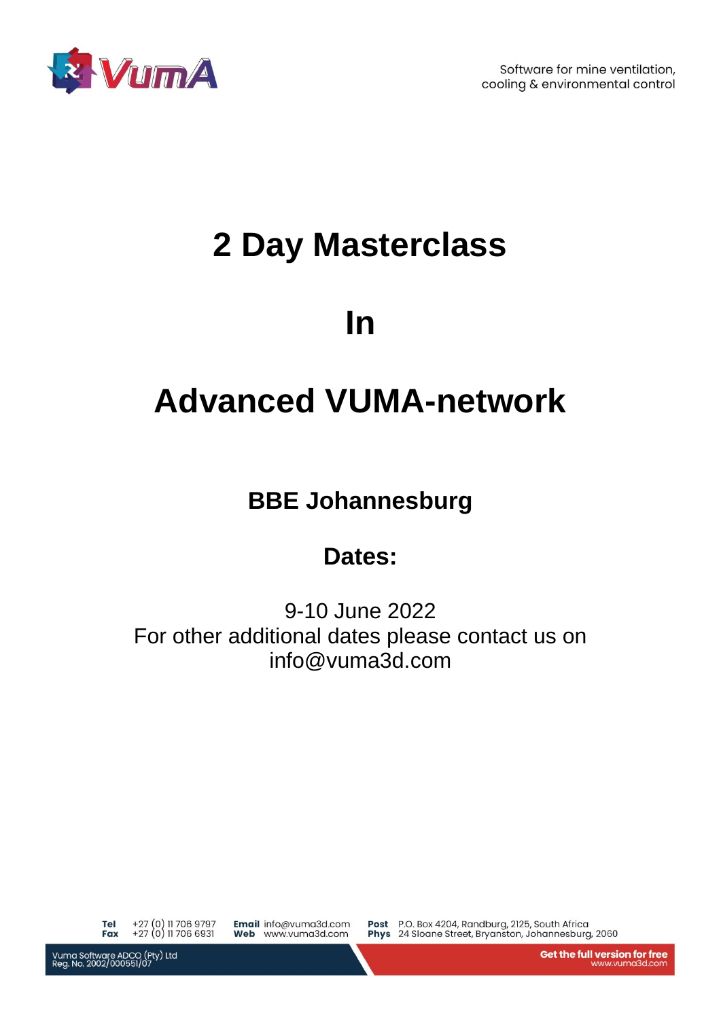

Software for mine ventilation, cooling & environmental control

# **2 Day Masterclass**

## **In**

## **Advanced VUMA-network**

### **BBE Johannesburg**

## **Dates:**

9-10 June 2022 For other additional dates please contact us on info@vuma3d.com

+27 (0) 11 706 9797<br>+27 (0) 11 706 6931 **Tel** Fax

Email info@vuma3d.com Web www.vuma3d.com

Post P.O. Box 4204, Randburg, 2125, South Africa Phys 24 Sloane Street, Bryanston, Johannesburg, 2060

Vuma Software ADCO (Pty) Ltd<br>Reg. No. 2002/000551/07

Get the full version for free www.vuma3d.com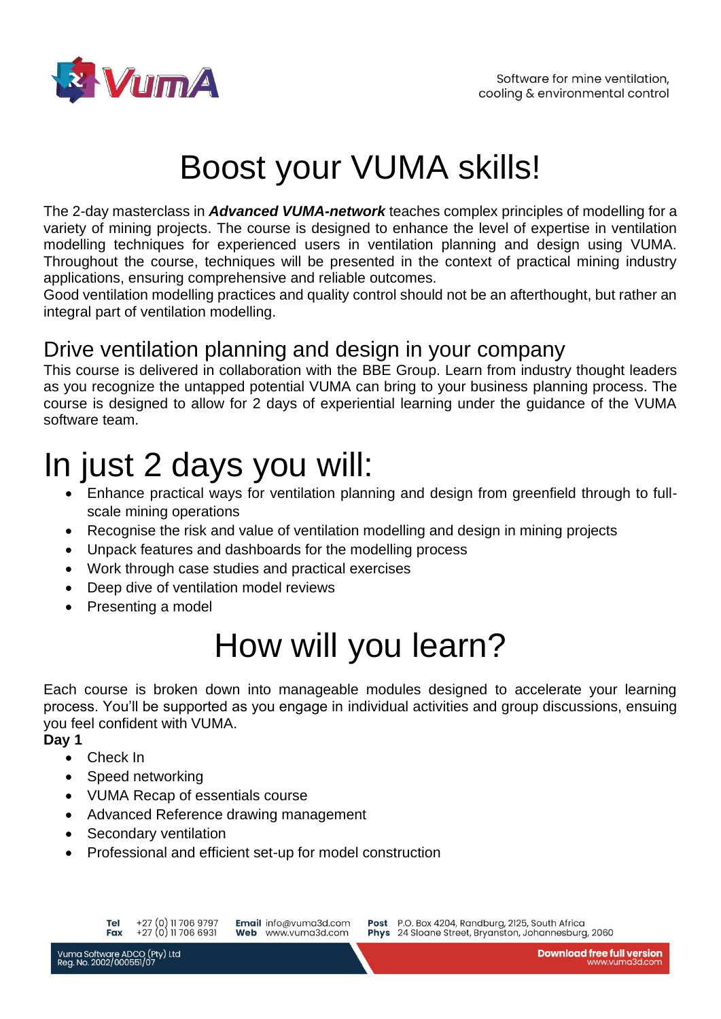

# Boost your VUMA skills!

The 2-day masterclass in *Advanced VUMA-network* teaches complex principles of modelling for a variety of mining projects. The course is designed to enhance the level of expertise in ventilation modelling techniques for experienced users in ventilation planning and design using VUMA. Throughout the course, techniques will be presented in the context of practical mining industry applications, ensuring comprehensive and reliable outcomes.

Good ventilation modelling practices and quality control should not be an afterthought, but rather an integral part of ventilation modelling.

#### Drive ventilation planning and design in your company

This course is delivered in collaboration with the BBE Group. Learn from industry thought leaders as you recognize the untapped potential VUMA can bring to your business planning process. The course is designed to allow for 2 days of experiential learning under the guidance of the VUMA software team.

## In just 2 days you will:

- Enhance practical ways for ventilation planning and design from greenfield through to fullscale mining operations
- Recognise the risk and value of ventilation modelling and design in mining projects
- Unpack features and dashboards for the modelling process
- Work through case studies and practical exercises
- Deep dive of ventilation model reviews
- Presenting a model

# How will you learn?

Each course is broken down into manageable modules designed to accelerate your learning process. You'll be supported as you engage in individual activities and group discussions, ensuing you feel confident with VUMA.

#### **Day 1**

- Check In
- Speed networking
- VUMA Recap of essentials course
- Advanced Reference drawing management
- Secondary ventilation
- Professional and efficient set-up for model construction

Email info@vuma3d.com Web www.vuma3d.com

Post P.O. Box 4204, Randburg, 2125, South Africa Phys 24 Sloane Street, Bryanston, Johannesburg, 2060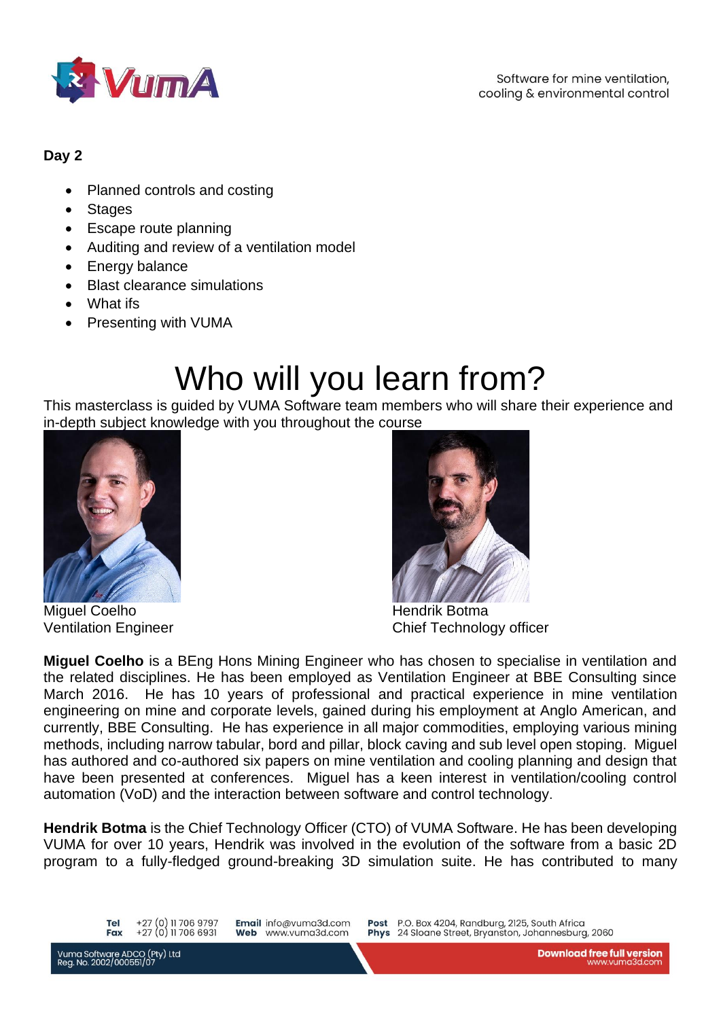

#### **Day 2**

- Planned controls and costing
- Stages
- Escape route planning
- Auditing and review of a ventilation model
- Energy balance
- Blast clearance simulations
- What ifs
- Presenting with VUMA

# Who will you learn from?

This masterclass is guided by VUMA Software team members who will share their experience and in-depth subject knowledge with you throughout the course



Miguel Coelho **Hendrik Botma** 



Ventilation Engineer Chief Technology officer

**Miguel Coelho** is a BEng Hons Mining Engineer who has chosen to specialise in ventilation and the related disciplines. He has been employed as Ventilation Engineer at BBE Consulting since March 2016. He has 10 years of professional and practical experience in mine ventilation engineering on mine and corporate levels, gained during his employment at Anglo American, and currently, BBE Consulting. He has experience in all major commodities, employing various mining methods, including narrow tabular, bord and pillar, block caving and sub level open stoping. Miguel has authored and co-authored six papers on mine ventilation and cooling planning and design that have been presented at conferences. Miguel has a keen interest in ventilation/cooling control automation (VoD) and the interaction between software and control technology.

**Hendrik Botma** is the Chief Technology Officer (CTO) of VUMA Software. He has been developing VUMA for over 10 years, Hendrik was involved in the evolution of the software from a basic 2D program to a fully-fledged ground-breaking 3D simulation suite. He has contributed to many

+27 (0) 11 706 9797 **Tel** +27 (0) 11 706 6931 Fax

Email info@vuma3d.com Web www.vuma3d.com

Post P.O. Box 4204, Randburg, 2125, South Africa Phys 24 Sloane Street, Bryanston, Johannesburg, 2060